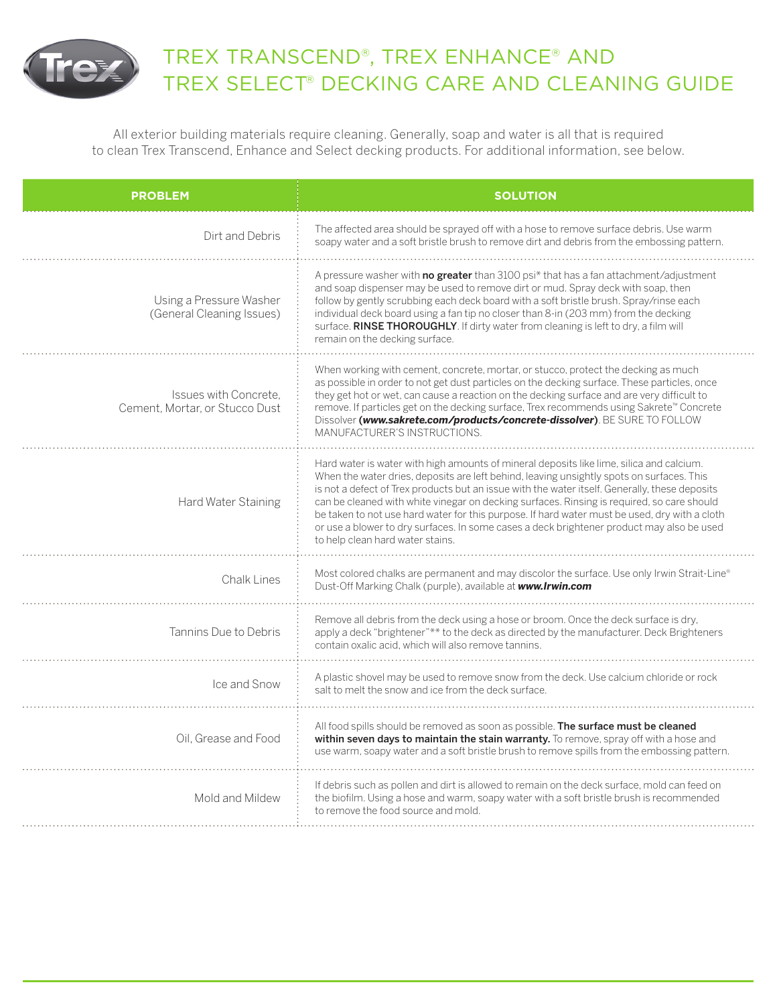

## TREX TRANSCEND®, TREX ENHANCE® AND TREX SELECT® DECKING CARE AND CLEANING GUIDE

All exterior building materials require cleaning. Generally, soap and water is all that is required to clean Trex Transcend, Enhance and Select decking products. For additional information, see below.

| <b>PROBLEM</b>                                          | <b>SOLUTION</b>                                                                                                                                                                                                                                                                                                                                                                                                                                                                                                                                                                                                         |
|---------------------------------------------------------|-------------------------------------------------------------------------------------------------------------------------------------------------------------------------------------------------------------------------------------------------------------------------------------------------------------------------------------------------------------------------------------------------------------------------------------------------------------------------------------------------------------------------------------------------------------------------------------------------------------------------|
| Dirt and Debris                                         | The affected area should be sprayed off with a hose to remove surface debris. Use warm<br>soapy water and a soft bristle brush to remove dirt and debris from the embossing pattern.                                                                                                                                                                                                                                                                                                                                                                                                                                    |
| Using a Pressure Washer<br>(General Cleaning Issues)    | A pressure washer with <b>no greater</b> than 3100 psi* that has a fan attachment/adjustment<br>and soap dispenser may be used to remove dirt or mud. Spray deck with soap, then<br>follow by gently scrubbing each deck board with a soft bristle brush. Spray/rinse each<br>individual deck board using a fan tip no closer than 8-in (203 mm) from the decking<br>surface. RINSE THOROUGHLY. If dirty water from cleaning is left to dry, a film will<br>remain on the decking surface.                                                                                                                              |
| Issues with Concrete.<br>Cement, Mortar, or Stucco Dust | When working with cement, concrete, mortar, or stucco, protect the decking as much<br>as possible in order to not get dust particles on the decking surface. These particles, once<br>they get hot or wet, can cause a reaction on the decking surface and are very difficult to<br>remove. If particles get on the decking surface, Trex recommends using Sakrete™ Concrete<br>Dissolver (www.sakrete.com/products/concrete-dissolver). BE SURE TO FOLLOW<br>MANUFACTURFR'S INSTRUCTIONS.                                                                                                                              |
| Hard Water Staining                                     | Hard water is water with high amounts of mineral deposits like lime, silica and calcium.<br>When the water dries, deposits are left behind, leaving unsightly spots on surfaces. This<br>is not a defect of Trex products but an issue with the water itself. Generally, these deposits<br>can be cleaned with white vinegar on decking surfaces. Rinsing is required, so care should<br>be taken to not use hard water for this purpose. If hard water must be used, dry with a cloth<br>or use a blower to dry surfaces. In some cases a deck brightener product may also be used<br>to help clean hard water stains. |
| Chalk Lines                                             | Most colored chalks are permanent and may discolor the surface. Use only Irwin Strait-Line®<br>Dust-Off Marking Chalk (purple), available at www.Irwin.com                                                                                                                                                                                                                                                                                                                                                                                                                                                              |
| Tannins Due to Debris                                   | Remove all debris from the deck using a hose or broom. Once the deck surface is dry,<br>apply a deck "brightener"** to the deck as directed by the manufacturer. Deck Brighteners<br>contain oxalic acid, which will also remove tannins.                                                                                                                                                                                                                                                                                                                                                                               |
| Ice and Snow                                            | A plastic shovel may be used to remove snow from the deck. Use calcium chloride or rock<br>salt to melt the snow and ice from the deck surface.                                                                                                                                                                                                                                                                                                                                                                                                                                                                         |
| Oil, Grease and Food                                    | All food spills should be removed as soon as possible. The surface must be cleaned<br>within seven days to maintain the stain warranty. To remove, spray off with a hose and<br>use warm, soapy water and a soft bristle brush to remove spills from the embossing pattern.                                                                                                                                                                                                                                                                                                                                             |
| Mold and Mildew                                         | If debris such as pollen and dirt is allowed to remain on the deck surface, mold can feed on<br>the biofilm. Using a hose and warm, soapy water with a soft bristle brush is recommended<br>to remove the food source and mold.                                                                                                                                                                                                                                                                                                                                                                                         |